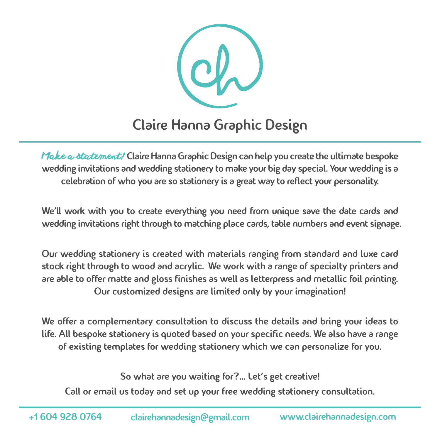

Claire Hanna Graphic Design

*Make a statement!* Claire Hanna Graphic Design can help you create the ultimate bespoke wedding invitations and wedding stationery to make your big day special. Your wedding is a celebration of who you are so stationery is a great way to reflect your personality.

We'll work with you to create everything you need from unique save the date cards and wedding invitations right through to matching place cards, table numbers and event signage.

Our wedding stationery is created with materials ranging from standard and luxe card stock right through to wood and acrylic. We work with a range of specialty printers and are able to offer matte and gloss finishes as well as letterpress and metallic foil printing. Our customized designs are limited only by your imagination!

We offer a complementary consultation to discuss the details and bring your ideas to life. All bespoke stationery is quoted based on your specific needs. We also have a range of existing templates for wedding stationery which we can personalize for you.

So what are you waiting for?... Let's get creative!

Call or email us today and set up your free wedding stationery consultation.